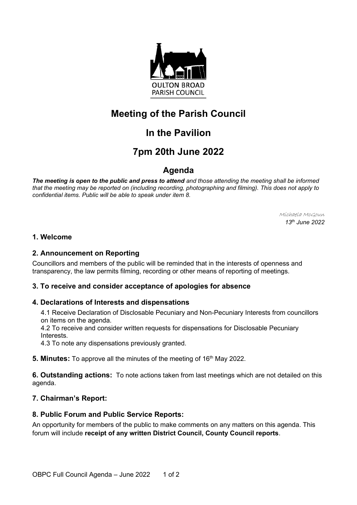

# **Meeting of the Parish Council**

# **In the Pavilion**

# **7pm 20th June 2022**

### **Agenda**

*The meeting is open to the public and press to attend and those attending the meeting shall be informed that the meeting may be reported on (including recording, photographing and filming). This does not apply to confidential items. Public will be able to speak under item 8.*

> Michaela McGoun *13 th June 2022*

### **1. Welcome**

#### **2. Announcement on Reporting**

Councillors and members of the public will be reminded that in the interests of openness and transparency, the law permits filming, recording or other means of reporting of meetings.

#### **3. To receive and consider acceptance of apologies for absence**

#### **4. Declarations of Interests and dispensations**

4.1 Receive Declaration of Disclosable Pecuniary and Non-Pecuniary Interests from councillors on items on the agenda.

4.2 To receive and consider written requests for dispensations for Disclosable Pecuniary **Interests** 

4.3 To note any dispensations previously granted.

**5. Minutes:** To approve all the minutes of the meeting of 16<sup>th</sup> May 2022.

**6. Outstanding actions:** To note actions taken from last meetings which are not detailed on this agenda.

#### **7. Chairman's Report:**

#### **8. Public Forum and Public Service Reports:**

An opportunity for members of the public to make comments on any matters on this agenda. This forum will include **receipt of any written District Council, County Council reports**.